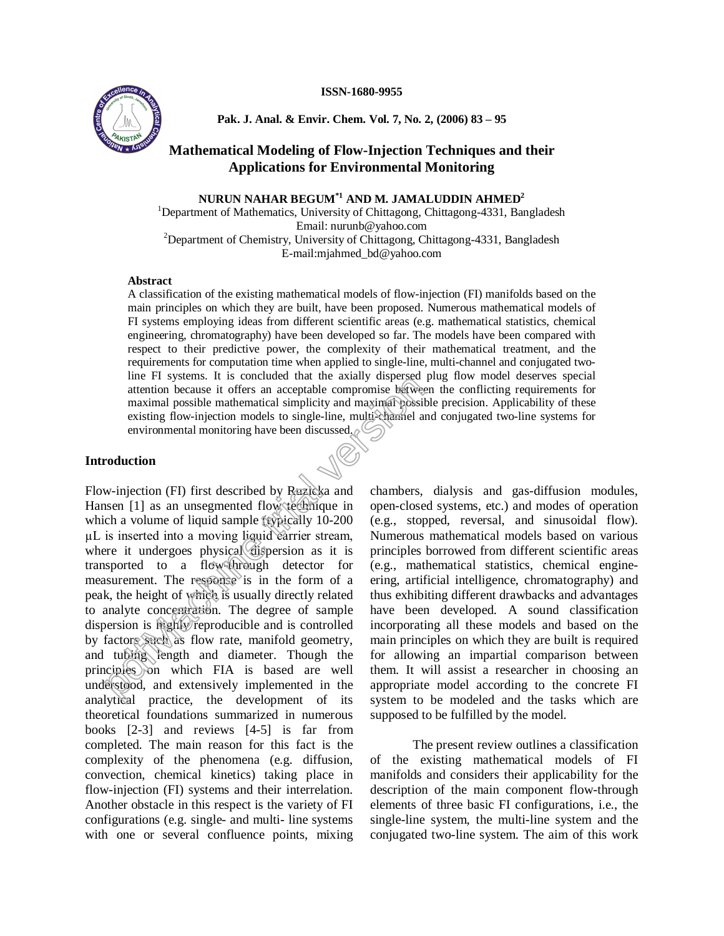### **ISSN-1680-9955**



**Pak. J. Anal. & Envir. Chem. Vol. 7, No. 2, (2006) 83 ñ 95**

# **Mathematical Modeling of Flow-Injection Techniques and their Applications for Environmental Monitoring**

**NURUN NAHAR BEGUM\*1 AND M. JAMALUDDIN AHMED 2**

<sup>1</sup>Department of Mathematics, University of Chittagong, Chittagong-4331, Bangladesh Email: [nurunb@yahoo.com](mailto:nurunb@yahoo.com) <sup>2</sup>Department of Chemistry, University of Chittagong, Chittagong-4331, Bangladesh [E-mail:mjahmed\\_bd@yahoo.com](mailto:E-mail:mjahmed_bd@yahoo.com)

### **Abstract**

A classification of the existing mathematical models of flow-injection (FI) manifolds based on the main principles on which they are built, have been proposed. Numerous mathematical models of FI systems employing ideas from different scientific areas (e.g. mathematical statistics, chemical engineering, chromatography) have been developed so far. The models have been compared with respect to their predictive power, the complexity of their mathematical treatment, and the requirements for computation time when applied to single-line, multi-channel and conjugated twoline FI systems. It is concluded that the axially dispersed plug flow model deserves special attention because it offers an acceptable compromise between the conflicting requirements for maximal possible mathematical simplicity and maximal possible precision. Applicability of these existing flow-injection models to single-line, multi-channel and conjugated two-line systems for environmental monitoring have been discussed.

### **Introduction**

Flow-injection (FI) first described by Ruzicka and Hansen [1] as an unsegmented flow technique in which a volume of liquid sample (typically 10-200) µL is inserted into a moving liquid carrier stream, where it undergoes physical dispersion as it is transported to a flow-through detector for measurement. The response is in the form of a peak, the height of which is usually directly related to analyte concentration. The degree of sample dispersion is highly reproducible and is controlled by factors such as flow rate, manifold geometry, and tubing length and diameter. Though the principles on which FIA is based are well understood, and extensively implemented in the analytical practice, the development of its theoretical foundations summarized in numerous books [2-3] and reviews [4-5] is far from completed. The main reason for this fact is the complexity of the phenomena (e.g. diffusion, convection, chemical kinetics) taking place in flow-injection (FI) systems and their interrelation. Another obstacle in this respect is the variety of FI configurations (e.g. single- and multi- line systems with one or several confluence points, mixing and the axial distance and the axial distance in the control trial in the control of the system to the compromise between maximal possible mathematical simplicity and maximal possible existing flow-injection models to sing

chambers, dialysis and gas-diffusion modules, open-closed systems, etc.) and modes of operation (e.g., stopped, reversal, and sinusoidal flow). Numerous mathematical models based on various principles borrowed from different scientific areas (e.g., mathematical statistics, chemical engine ering, artificial intelligence, chromatography) and thus exhibiting different drawbacks and advantages have been developed. A sound classification incorporating all these models and based on the main principles on which they are built is required for allowing an impartial comparison between them. It will assist a researcher in choosing an appropriate model according to the concrete FI system to be modeled and the tasks which are supposed to be fulfilled by the model.

The present review outlines a classification of the existing mathematical models of FI manifolds and considers their applicability for the description of the main component flow-through elements of three basic FI configurations, i.e., the single-line system, the multi-line system and the conjugated two-line system. The aim of this work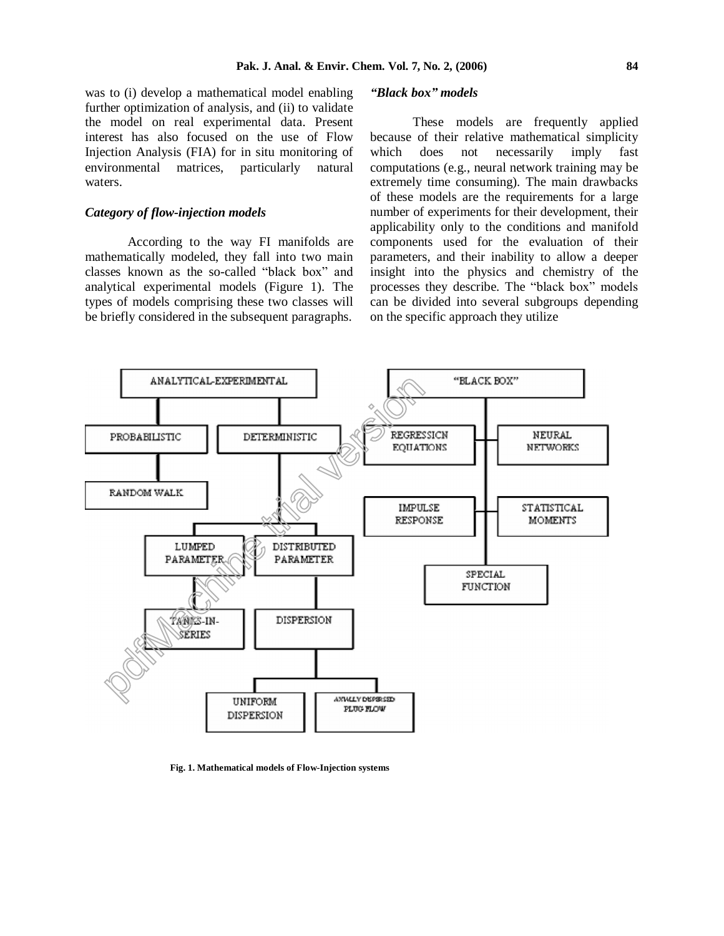was to (i) develop a mathematical model enabling further optimization of analysis, and (ii) to validate the model on real experimental data. Present interest has also focused on the use of Flow Injection Analysis (FIA) for in situ monitoring of environmental matrices, particularly natural waters.

# *Category of flow-injection models*

According to the way FI manifolds are mathematically modeled, they fall into two main classes known as the so-called "black box" and analytical experimental models (Figure 1). The types of models comprising these two classes will be briefly considered in the subsequent paragraphs.

# *ìBlack boxî models*

These models are frequently applied because of their relative mathematical simplicity which does not necessarily imply fast computations (e.g., neural network training may be extremely time consuming). The main drawbacks of these models are the requirements for a large number of experiments for their development, their applicability only to the conditions and manifold components used for the evaluation of their parameters, and their inability to allow a deeper insight into the physics and chemistry of the processes they describe. The "black box" models can be divided into several subgroups depending on the specific approach they utilize



**Fig. 1. Mathematical models of Flow-Injection systems**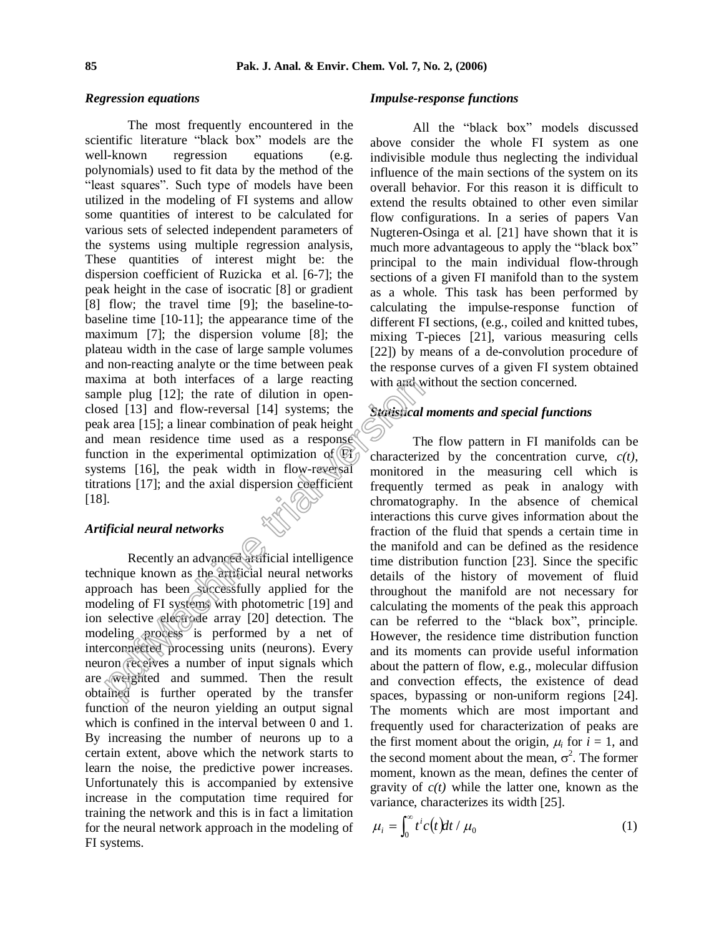### *Regression equations*

The most frequently encountered in the scientific literature "black box" models are the well-known regression equations (e.g. polynomials) used to fit data by the method of the "least squares". Such type of models have been utilized in the modeling of FI systems and allow some quantities of interest to be calculated for various sets of selected independent parameters of the systems using multiple regression analysis, These quantities of interest might be: the dispersion coefficient of Ruzicka et al. [6-7]; the peak height in the case of isocratic [8] or gradient [8] flow; the travel time [9]; the baseline-to baseline time [10-11]; the appearance time of the maximum [7]; the dispersion volume [8]; the plateau width in the case of large sample volumes and non-reacting analyte or the time between peak maxima at both interfaces of a large reacting sample plug [12]; the rate of dilution in openclosed [13] and flow-reversal [14] systems; the peak area [15]; a linear combination of peak height and mean residence time used as a response function in the experimental optimization of  $(\mathbb{F})$ systems [16], the peak width in flow-reversal titrations [17]; and the axial dispersion coefficient [18].

# *Artificial neural networks*

Recently an advanced artificial intelligence technique known as the artificial neural networks approach has been successfully applied for the modeling of FI systems with photometric [19] and ion selective electrode array [20] detection. The modeling process is performed by a net of interconnected processing units (neurons). Every neuron receives a number of input signals which are weighted and summed. Then the result obtained is further operated by the transfer function of the neuron yielding an output signal which is confined in the interval between 0 and 1. By increasing the number of neurons up to a certain extent, above which the network starts to learn the noise, the predictive power increases. Unfortunately this is accompanied by extensive increase in the computation time required for training the network and this is in fact a limitation for the neural network approach in the modeling of FI systems. tima at both interfaces of a large reacting with and the plug [12]; the rate of dilution in open-<br>eled [13] and flow-reversal [14] systems; the state and [15]; a linear combination of peak height mean residence time used

### *Impulse-response functions*

All the "black box" models discussed above consider the whole FI system as one indivisible module thus neglecting the individual influence of the main sections of the system on its overall behavior. For this reason it is difficult to extend the results obtained to other even similar flow configurations. In a series of papers Van Nugteren-Osinga et al. [21] have shown that it is much more advantageous to apply the "black box" principal to the main individual flow-through sections of a given FI manifold than to the system as a whole. This task has been performed by calculating the impulse-response function of different FI sections, (e.g., coiled and knitted tubes, mixing T-pieces [21], various measuring cells [22]) by means of a de-convolution procedure of the response curves of a given FI system obtained with and without the section concerned.

# *Statistical moments and special functions*

The flow pattern in FI manifolds can be characterized by the concentration curve, *c(t)*, monitored in the measuring cell which is frequently termed as peak in analogy with chromatography. In the absence of chemical interactions this curve gives information about the fraction of the fluid that spends a certain time in the manifold and can be defined as the residence time distribution function [23]. Since the specific details of the history of movement of fluid throughout the manifold are not necessary for calculating the moments of the peak this approach can be referred to the "black box", principle. However, the residence time distribution function and its moments can provide useful information about the pattern of flow, e.g., molecular diffusion and convection effects, the existence of dead spaces, bypassing or non-uniform regions [24]. The moments which are most important and frequently used for characterization of peaks are the first moment about the origin,  $\mu_i$  for  $i = 1$ , and the second moment about the mean,  $\sigma^2$ . The former moment, known as the mean, defines the center of gravity of *c(t)* while the latter one, known as the variance, characterizes its width [25].

$$
\mu_i = \int_0^\infty t^i c(t) dt / \mu_0 \tag{1}
$$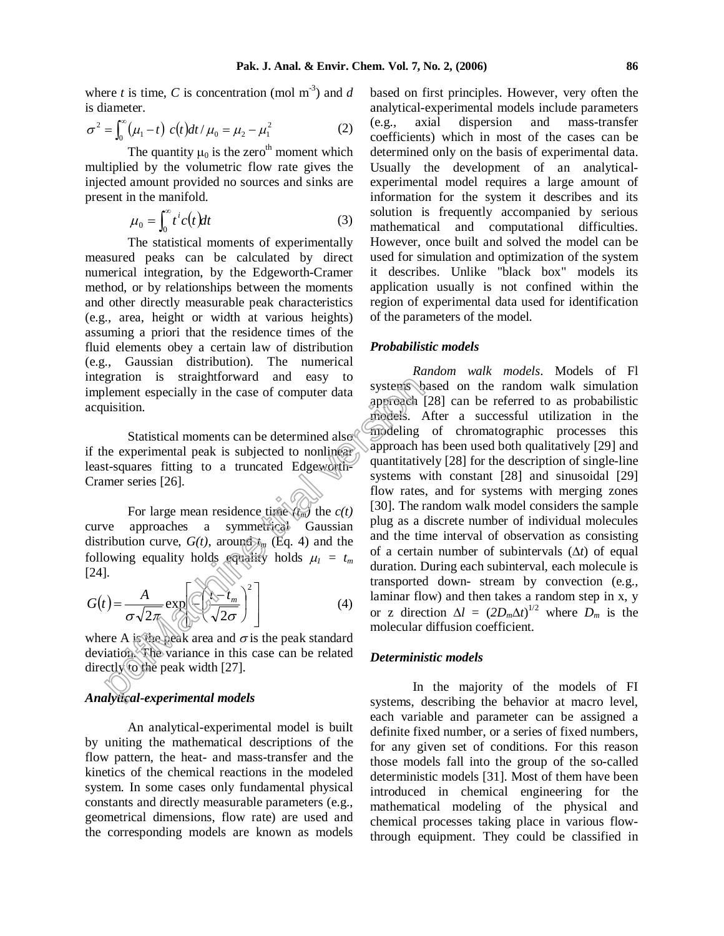where *t* is time, *C* is concentration (mol m<sup>-3</sup>) and  $d$  b is diameter.

$$
\sigma^2 = \int_0^\infty (\mu_1 - t) \ c(t) dt / \mu_0 = \mu_2 - \mu_1^2 \tag{2}
$$

The quantity  $\mu_0$  is the zero<sup>th</sup> moment which c multiplied by the volumetric flow rate gives the injected amount provided no sources and sinks are present in the manifold.

$$
\mu_0 = \int_0^\infty t^i c(t) dt \tag{3}
$$

The statistical moments of experimentally measured peaks can be calculated by direct numerical integration, by the Edgeworth-Cramer method, or by relationships between the moments and other directly measurable peak characteristics (e.g., area, height or width at various heights) assuming a priori that the residence times of the fluid elements obey a certain law of distribution (e.g., Gaussian distribution). The numerical integration is straightforward and easy to implement especially in the case of computer data acquisition.

Statistical moments can be determined also if the experimental peak is subjected to nonlinear least-squares fitting to a truncated Edgeworth- Cramer series [26].

For large mean residence time  $\sqrt{m}$  the  $c(t)$ curve approaches a symmetrical Gaussian distribution curve,  $G(t)$ , around  $\phi_m$  (Eq. 4) and the following equality holds equality holds  $\mu_l = t_m$ [24]. gradion is straightforward and easy to<br>
lement especially in the case of computer data<br>
instition.<br>
Statistical moments can be determined also approach in<br>
the experimental peak is subjected to nonline<br>
mericing the case

$$
G(t) = \frac{A}{\sigma \sqrt{2\pi}} \exp\left[\left(\frac{\sqrt{2\sigma}}{\sqrt{2\sigma}}\right)^2\right]
$$
 (4)

where A is the peak area and  $\sigma$  is the peak standard deviation. The variance in this case can be related directly to the peak width [27].

### *Analytical-experimental models*

An analytical-experimental model is built by uniting the mathematical descriptions of the flow pattern, the heat- and mass-transfer and the kinetics of the chemical reactions in the modeled system. In some cases only fundamental physical constants and directly measurable parameters (e.g., geometrical dimensions, flow rate) are used and the corresponding models are known as models based on first principles. However, very often the analytical-experimental models include parameters (e.g., axial dispersion and mass-transfer coefficients) which in most of the cases can be determined only on the basis of experimental data. Usually the development of an analytical experimental model requires a large amount of information for the system it describes and its solution is frequently accompanied by serious mathematical and computational difficulties. However, once built and solved the model can be used for simulation and optimization of the system it describes. Unlike "black box" models its application usually is not confined within the region of experimental data used for identification of the parameters of the model.

### *Probabilistic models*

*Random walk models*. Models of Fl systems based on the random walk simulation approach [28] can be referred to as probabilistic models. After a successful utilization in the modeling of chromatographic processes this approach has been used both qualitatively [29] and quantitatively [28] for the description of single-line systems with constant [28] and sinusoidal [29] flow rates, and for systems with merging zones [30]. The random walk model considers the sample plug as a discrete number of individual molecules and the time interval of observation as consisting of a certain number of subintervals  $(\Delta t)$  of equal duration. During each subinterval, each molecule is transported down- stream by convection (e.g., laminar flow) and then takes a random step in x, y or z direction  $\Delta l = (2D_m \Delta t)^{1/2}$  where  $D_m$  is the molecular diffusion coefficient.

### *Deterministic models*

In the majority of the models of FI systems, describing the behavior at macro level, each variable and parameter can be assigned a definite fixed number, or a series of fixed numbers, for any given set of conditions. For this reason those models fall into the group of the so-called deterministic models [31]. Most of them have been introduced in chemical engineering for the mathematical modeling of the physical and chemical processes taking place in various flowthrough equipment. They could be classified in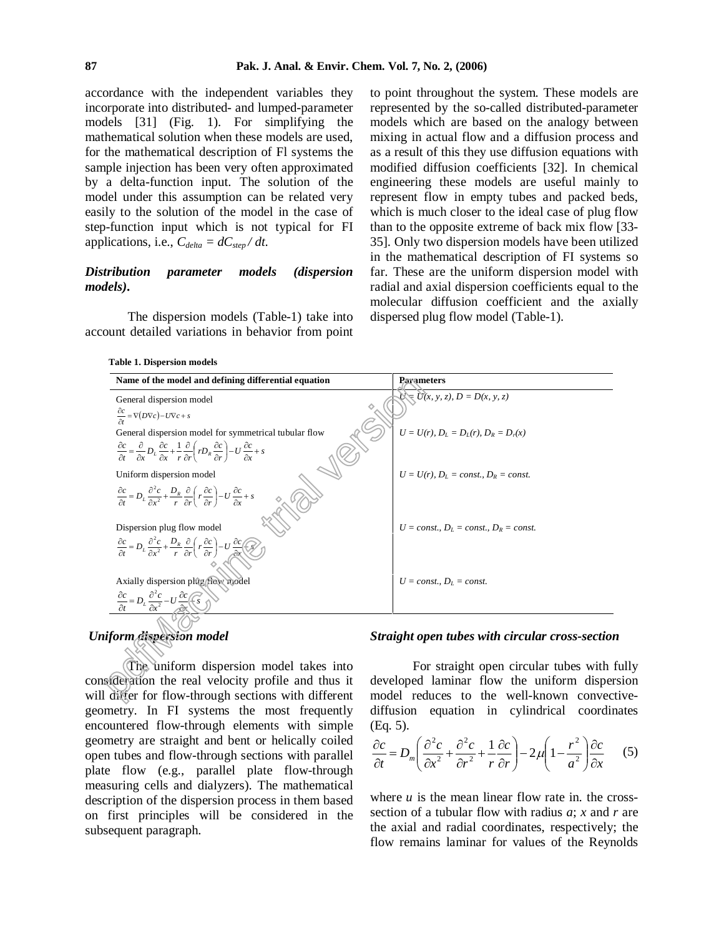accordance with the independent variables they incorporate into distributed- and lumped-parameter models [31] (Fig. 1). For simplifying the mathematical solution when these models are used, for the mathematical description of Fl systems the sample injection has been very often approximated by a delta-function input. The solution of the model under this assumption can be related very easily to the solution of the model in the case of step-function input which is not typical for FI applications, i.e.,  $C_{delta} = dC_{step} / dt$ .

### *Distribution parameter models (dispersion models)***.**

The dispersion models (Table-1) take into account detailed variations in behavior from point

**Table 1. Dispersion models**

to point throughout the system. These models are represented by the so-called distributed-parameter models which are based on the analogy between mixing in actual flow and a diffusion process and as a result of this they use diffusion equations with modified diffusion coefficients [32]. In chemical engineering these models are useful mainly to represent flow in empty tubes and packed beds, which is much closer to the ideal case of plug flow than to the opposite extreme of back mix flow [33- 35]. Only two dispersion models have been utilized in the mathematical description of FI systems so far. These are the uniform dispersion model with radial and axial dispersion coefficients equal to the molecular diffusion coefficient and the axially dispersed plug flow model (Table-1).

| Name of the model and defining differential equation                                                                                                                                                                               | <b>Parameters</b>                                       |
|------------------------------------------------------------------------------------------------------------------------------------------------------------------------------------------------------------------------------------|---------------------------------------------------------|
| General dispersion model                                                                                                                                                                                                           | $\mathbb{X}$ = $\mathbb{D}(x, y, z)$ , $D = D(x, y, z)$ |
| $\frac{\partial c}{\partial t} = \nabla(D\nabla c) - U\nabla c + s$                                                                                                                                                                |                                                         |
| General dispersion model for symmetrical tubular flow                                                                                                                                                                              | $U = U(r)$ , $D_L = D_L(r)$ , $D_R = D_r(x)$            |
| $\frac{\partial c}{\partial t} = \frac{\partial}{\partial x} D_L \frac{\partial c}{\partial x} + \frac{1}{r} \frac{\partial}{\partial r} \left( r D_R \frac{\partial c}{\partial r} \right) - U \frac{\partial c}{\partial x} + s$ |                                                         |
| Uniform dispersion model                                                                                                                                                                                                           | $U = U(r)$ , $DL = const.$ , $DR = const.$              |
| $\frac{\partial c}{\partial t} = D_L \frac{\partial^2 c}{\partial x^2} + \frac{D_R}{r} \frac{\partial}{\partial r} \left( r \frac{\partial c}{\partial r} \right) - U \frac{\partial c}{\partial x} + s$                           |                                                         |
| Dispersion plug flow model                                                                                                                                                                                                         | $U = const., DL = const., DR = const.$                  |
| $\frac{\partial c}{\partial t} = D_L \frac{\partial^2 c}{\partial x^2} + \frac{D_R}{r} \frac{\partial}{\partial r} \left( r \frac{\partial c}{\partial r} \right) - U \frac{\partial c}{\partial x}$                               |                                                         |
| Axially dispersion plug flow model                                                                                                                                                                                                 | $U = const., DL = const.$                               |
| $\frac{\partial c}{\partial t} = D_L \frac{\partial^2 c}{\partial x^2} - U \frac{\partial c}{\partial x}$                                                                                                                          |                                                         |
|                                                                                                                                                                                                                                    |                                                         |
| uform dispersion model                                                                                                                                                                                                             | Straight open tubes with circular cross-section         |
| The uniform dispersion model takes into                                                                                                                                                                                            | For straight open circular tubes with                   |
| sideration the real velocity profile and thus it                                                                                                                                                                                   | developed laminar flow the uniform disper               |
| I differ for flow-through sections with different                                                                                                                                                                                  | model reduces to the well-known convec                  |

# *Uniform dispersion model*

The uniform dispersion model takes into consideration the real velocity profile and thus it will differ for flow-through sections with different geometry. In FI systems the most frequently encountered flow-through elements with simple geometry are straight and bent or helically coiled open tubes and flow-through sections with parallel plate flow (e.g., parallel plate flow-through measuring cells and dialyzers). The mathematical description of the dispersion process in them based on first principles will be considered in the subsequent paragraph.

### *Straight open tubes with circular cross-section*

For straight open circular tubes with fully developed laminar flow the uniform dispersion model reduces to the well-known convective diffusion equation in cylindrical coordinates (Eq. 5).

$$
\frac{\partial c}{\partial t} = D_m \left( \frac{\partial^2 c}{\partial x^2} + \frac{\partial^2 c}{\partial r^2} + \frac{1}{r} \frac{\partial c}{\partial r} \right) - 2\mu \left( 1 - \frac{r^2}{a^2} \right) \frac{\partial c}{\partial x} \tag{5}
$$

where *u* is the mean linear flow rate in, the crosssection of a tubular flow with radius *a*; *x* and *r* are the axial and radial coordinates, respectively; the flow remains laminar for values of the Reynolds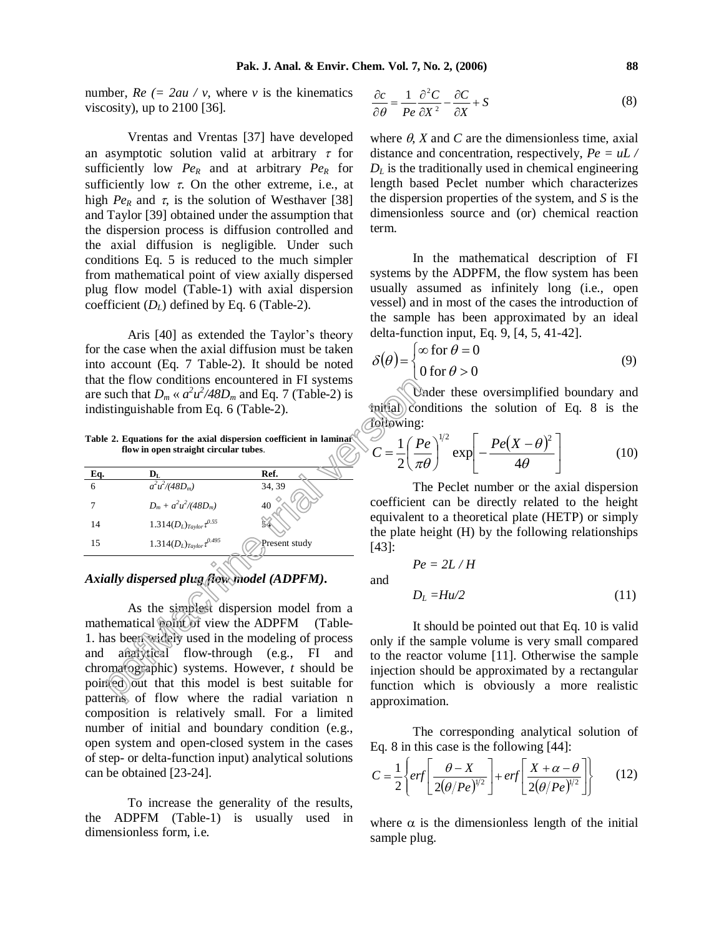number,  $Re = 2au / v$ , where *v* is the kinematics viscosity), up to 2100 [36]. *<sup>S</sup>*

Vrentas and Vrentas [37] have developed an asymptotic solution valid at arbitrary  $\tau$  for sufficiently low  $Pe_R$  and at arbitrary  $Pe_R$  for sufficiently low  $\tau$ . On the other extreme, i.e., at high  $Pe_R$  and  $\tau$ , is the solution of Westhaver [38] and Taylor [39] obtained under the assumption that the dispersion process is diffusion controlled and the axial diffusion is negligible. Under such conditions Eq. 5 is reduced to the much simpler from mathematical point of view axially dispersed plug flow model (Table-1) with axial dispersion coefficient  $(D_L)$  defined by Eq. 6 (Table-2).

Aris [40] as extended the Taylor's theory for the case when the axial diffusion must be taken into account (Eq. 7 Table-2). It should be noted that the flow conditions encountered in FI systems are such that  $D_m \propto a^2 u^2 / 48 D_m$  and Eq. 7 (Table-2) is indistinguishable from Eq. 6 (Table-2).

**Table 2. Equations for the axial dispersion coefficient in laminar flow in open straight circular tubes**.

|        | that the flow conditions encountered in FI systems<br>are such that $D_m \propto a^2 u^2 / 48 D_m$ and Eq. 7 (Table-2) is |                                                                    | W                                              |
|--------|---------------------------------------------------------------------------------------------------------------------------|--------------------------------------------------------------------|------------------------------------------------|
|        | indistinguishable from Eq. 6 (Table-2).                                                                                   |                                                                    | initial)<br>čor                                |
|        |                                                                                                                           |                                                                    | following:                                     |
|        | flow in open straight circular tubes.                                                                                     | Table 2. Equations for the axial dispersion coefficient in laminar | $C = \frac{1}{2} \left( \frac{P}{\pi} \right)$ |
| Eq.    |                                                                                                                           | Ref.                                                               |                                                |
| 6      | $\frac{a^2u^2}{48D_m}$                                                                                                    | 34, 39                                                             | Tł                                             |
| $\tau$ | $D_m + a^2 u^2 / (48 D_m)$                                                                                                | 40                                                                 | coefficient                                    |
| 14     | 1.314( $D_L$ ) <sub>Taylor</sub> $\tau^{0.55}$                                                                            |                                                                    | equivalent                                     |
|        |                                                                                                                           |                                                                    | the plate h                                    |
| 15     | $1.314(D_L)$ Taylor $\tau^{0.495}$                                                                                        | Present study                                                      | $[43]$ :                                       |
|        |                                                                                                                           |                                                                    | Pe                                             |
|        | Axially dispersed plug flow model (ADPFM).                                                                                |                                                                    | and                                            |
|        |                                                                                                                           |                                                                    | $D_l$                                          |
|        |                                                                                                                           | As the simplest dispersion model from a                            |                                                |
|        | mathematical point of view the ADPFM (Table-                                                                              |                                                                    | It                                             |
|        |                                                                                                                           | 1. has been widely used in the modeling of process                 | only if the                                    |
| and    |                                                                                                                           | analytical flow-through (e.g., FI and                              | to the read                                    |
|        |                                                                                                                           | chromatographic) systems. However, $t$ should be                   | injection s                                    |
|        |                                                                                                                           | pointed) out that this model is best suitable for                  | function <sup>1</sup>                          |
|        |                                                                                                                           | patterns of flow where the radial variation n                      | annroxima                                      |

# *Axially dispersed plug flow model (ADPFM)***.**

As the simplest dispersion model from a  $mathematical$   $point$   $of$  view the ADPFM (Table-1. has been widely used in the modeling of process and analytical flow-through (e.g., FI and chromatographic) systems. However, *t* should be pointed) out that this model is best suitable for patterns of flow where the radial variation n composition is relatively small. For a limited number of initial and boundary condition (e.g., open system and open-closed system in the cases of step- or delta-function input) analytical solutions can be obtained [23-24].

To increase the generality of the results, the ADPFM (Table-1) is usually used in dimensionless form, i.e.

$$
\frac{\partial c}{\partial \theta} = \frac{1}{Pe} \frac{\partial^2 C}{\partial X^2} - \frac{\partial C}{\partial X} + S \tag{8}
$$

where  $\theta$ , *X* and *C* are the dimensionless time, axial distance and concentration, respectively,  $Pe = uL$  /  $D_L$  is the traditionally used in chemical engineering length based Peclet number which characterizes the dispersion properties of the system, and *S* is the dimensionless source and (or) chemical reaction term.

In the mathematical description of FI systems by the ADPFM, the flow system has been usually assumed as infinitely long (i.e., open vessel) and in most of the cases the introduction of the sample has been approximated by an ideal delta-function input, Eq. 9, [4, 5, 41-42].

$$
\delta(\theta) = \begin{cases} \infty \text{ for } \theta = 0 \\ 0 \text{ for } \theta > 0 \end{cases}
$$
 (9)

Under these oversimplified boundary and  $\text{initial}$  conditions the solution of Eq. 8 is the following:

$$
C = \frac{1}{2} \left( \frac{Pe}{\pi \theta} \right)^{1/2} \exp \left[ -\frac{Pe(X-\theta)^2}{4\theta} \right]
$$
 (10)

The Peclet number or the axial dispersion coefficient can be directly related to the height equivalent to a theoretical plate (HETP) or simply the plate height (H) by the following relationships [43]:

 $Pe = 2L/H$ 

$$
D_L = H u / 2 \tag{11}
$$

It should be pointed out that Eq. 10 is valid only if the sample volume is very small compared to the reactor volume [11]. Otherwise the sample injection should be approximated by a rectangular function which is obviously a more realistic approximation.

The corresponding analytical solution of Eq. 8 in this case is the following [44]:

$$
C = \frac{1}{2} \left\{ erf \left[ \frac{\theta - X}{2(\theta/Pe)^{1/2}} \right] + erf \left[ \frac{X + \alpha - \theta}{2(\theta/Pe)^{1/2}} \right] \right\}
$$
(12)

where  $\alpha$  is the dimensionless length of the initial sample plug.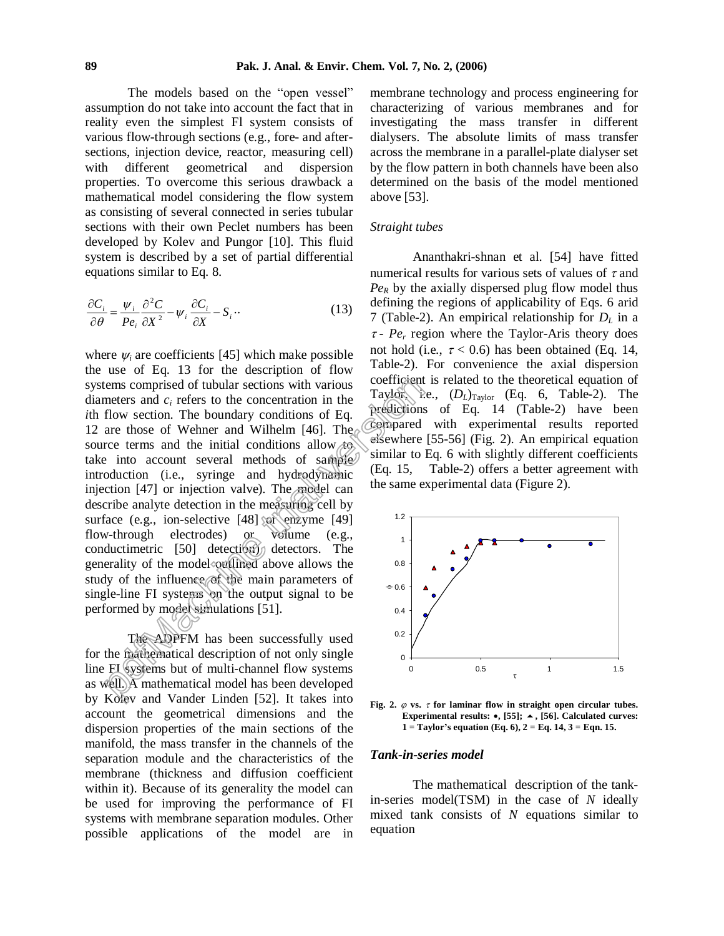The models based on the "open vessel" assumption do not take into account the fact that in reality even the simplest Fl system consists of various flow-through sections (e.g., fore- and after sections, injection device, reactor, measuring cell) with different geometrical and dispersion properties. To overcome this serious drawback a mathematical model considering the flow system as consisting of several connected in series tubular sections with their own Peclet numbers has been developed by Kolev and Pungor [10]. This fluid system is described by a set of partial differential equations similar to Eq. 8.

$$
\frac{\partial C_i}{\partial \theta} = \frac{\psi_i}{Pe_i} \frac{\partial^2 C}{\partial X^2} - \psi_i \frac{\partial C_i}{\partial X} - S_i \tag{13}
$$

where  $\psi_i$  are coefficients [45] which make possible the use of Eq. 13 for the description of flow systems comprised of tubular sections with various diameters and *c<sup>i</sup>* refers to the concentration in the *i*th flow section. The boundary conditions of Eq. 12 are those of Wehner and Wilhelm [46]. The source terms and the initial conditions allow to take into account several methods of sample simular  $\alpha$ <br>introduction  $\beta$  a suringe and hydroducential (Eq. 15, introduction (i.e., syringe and hydrodynamic injection [47] or injection valve). The model can describe analyte detection in the measuring cell by surface (e.g., ion-selective  $[48]$  or enzyme  $[49]$ flow-through electrodes) or volume (e.g., conductimetric [50] detection) detectors. The generality of the model outlined above allows the study of the influence of the main parameters of single-line FI systems on the output signal to be performed by model simulations [51]. the matter and the matter of the matter simple of the set of the contraction in the Taylor. The set of Wehner and Wilhelm [46]. The set of wehner and the mital conditions allow set of wehner and the matter of the set of t

The ADPFM has been successfully used for the mathematical description of not only single line FI systems but of multi-channel flow systems as well. A mathematical model has been developed by Kolev and Vander Linden [52]. It takes into account the geometrical dimensions and the dispersion properties of the main sections of the manifold, the mass transfer in the channels of the separation module and the characteristics of the membrane (thickness and diffusion coefficient within it). Because of its generality the model can be used for improving the performance of FI systems with membrane separation modules. Other possible applications of the model are in membrane technology and process engineering for characterizing of various membranes and for investigating the mass transfer in different dialysers. The absolute limits of mass transfer across the membrane in a parallel-plate dialyser set by the flow pattern in both channels have been also determined on the basis of the model mentioned above [53].

### *Straight tubes*

Ananthakri-shnan et al. [54] have fitted numerical results for various sets of values of  $\tau$  and *Pe<sub>R</sub>* by the axially dispersed plug flow model thus defining the regions of applicability of Eqs. 6 arid 7 (Table-2). An empirical relationship for *D<sup>L</sup>* in a  $\tau$ -  $Pe_r$  region where the Taylor-Aris theory does not hold (i.e.,  $\tau$  < 0.6) has been obtained (Eq. 14, Table-2). For convenience the axial dispersion coefficient is related to the theoretical equation of Taylor, i.e.,  $(D_L)_{Taylor}$  (Eq. 6, Table-2). The predictions of Eq. 14 (Table-2) have been compared with experimental results reported  $e$ isewhere [55-56] (Fig. 2). An empirical equation similar to Eq. 6 with slightly different coefficients Table-2) offers a better agreement with the same experimental data (Figure 2).



**Fig.** 2.  $\varphi$  vs.  $\tau$  for laminar flow in straight open circular tubes. **Experimental results: , [55]; , [56]. Calculated curves: 1 = Taylorís equation (Eq. 6), 2 = Eq. 14, 3 = Eqn. 15.**

### *Tank-in-series model*

The mathematical description of the tankin-series model(TSM) in the case of *N* ideally mixed tank consists of *N* equations similar to equation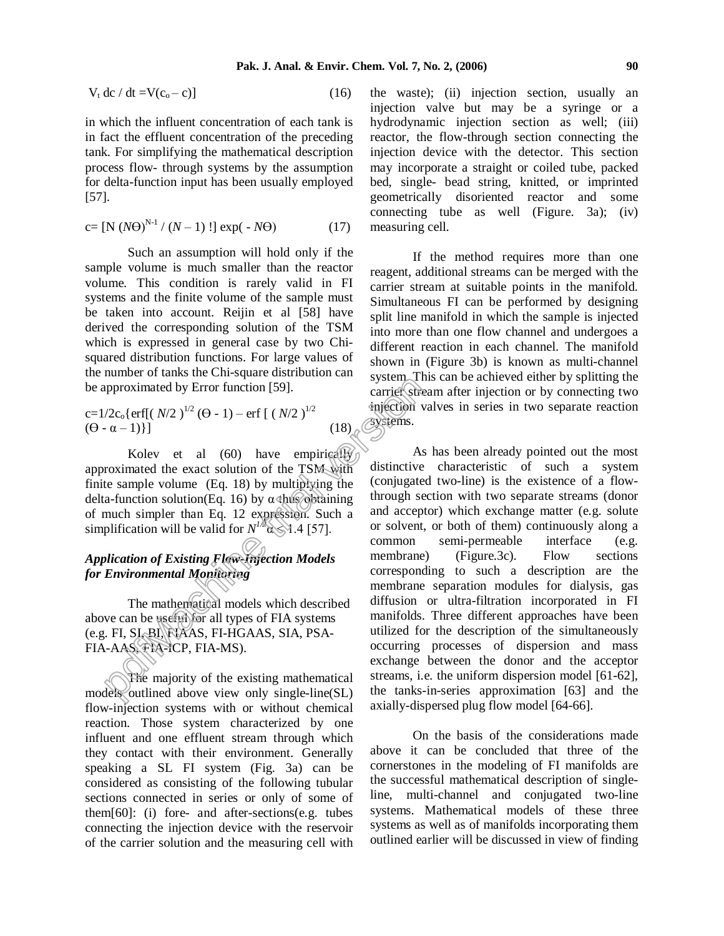$$
V_t dc / dt = V(c_0 - c)]
$$
 (16)

in which the influent concentration of each tank is in fact the effluent concentration of the preceding tank. For simplifying the mathematical description process flow- through systems by the assumption for delta-function input has been usually employed [57].

$$
c = [N (N\Theta)^{N-1} / (N-1)!] exp(-N\Theta)
$$
 (17)

Such an assumption will hold only if the sample volume is much smaller than the reactor volume. This condition is rarely valid in FI systems and the finite volume of the sample must be taken into account. Reijin et al [58] have derived the corresponding solution of the TSM which is expressed in general case by two Chi squared distribution functions. For large values of the number of tanks the Chi-square distribution can be approximated by Error function [59].

c=1/2c<sub>0</sub>{erf[(N/2)<sup>1/2</sup> (\Theta - 1) – erf [(N/2)<sup>1/2</sup>  
(
$$
\Theta - \alpha - 1
$$
)] (18)

Kolev et al  $(60)$  have empirically approximated the exact solution of the TSM with finite sample volume (Eq. 18) by multiplying the delta-function solution(Eq. 16) by  $\alpha$  thus obtaining of much simpler than Eq. 12 expression. Such a simplification will be valid for  $N^{1/2}$   $\propto$  1.4 [57]. metric of the existing  $F_{\text{A}}$  and acception of Existing The majority of the existing mathematical version of the existing  $F_{\text{A}}$  and acception of the exact solution of the TSM with distinctive te sample volume (Eq.

# *Application of Existing Flow-Injection Models for Environmental Monitoring*

The mathematical models which described above can be useful for all types of FIA systems (e.g. FI, SI, BI, FIAAS, FI-HGAAS, SIA, PSA- FIA-AAS, FIA-ICP, FIA-MS).

The majority of the existing mathematical models outlined above view only single-line(SL) flow-injection systems with or without chemical reaction. Those system characterized by one influent and one effluent stream through which they contact with their environment. Generally speaking a SL FI system (Fig. 3a) can be considered as consisting of the following tubular sections connected in series or only of some of them[60]: (i) fore- and after-sections(e.g. tubes connecting the injection device with the reservoir of the carrier solution and the measuring cell with the waste); (ii) injection section, usually an injection valve but may be a syringe or a hydrodynamic injection section as well; (iii) reactor, the flow-through section connecting the injection device with the detector. This section may incorporate a straight or coiled tube, packed bed, single- bead string, knitted, or imprinted geometrically disoriented reactor and some connecting tube as well (Figure. 3a); (iv) measuring cell.

If the method requires more than one reagent, additional streams can be merged with the carrier stream at suitable points in the manifold. Simultaneous FI can be performed by designing split line manifold in which the sample is injected into more than one flow channel and undergoes a different reaction in each channel. The manifold shown in (Figure 3b) is known as multi-channel system. This can be achieved either by splitting the carrier stream after injection or by connecting two injection valves in series in two separate reaction systems.

As has been already pointed out the most distinctive characteristic of such a system (conjugated two-line) is the existence of a flowthrough section with two separate streams (donor and acceptor) which exchange matter (e.g. solute or solvent, or both of them) continuously along a common semi-permeable interface (e.g. membrane) (Figure.3c). Flow sections corresponding to such a description are the membrane separation modules for dialysis, gas diffusion or ultra-filtration incorporated in FI manifolds. Three different approaches have been utilized for the description of the simultaneously occurring processes of dispersion and mass exchange between the donor and the acceptor streams, i.e. the uniform dispersion model [61-62], the tanks-in-series approximation [63] and the axially-dispersed plug flow model [64-66].

On the basis of the considerations made above it can be concluded that three of the cornerstones in the modeling of FI manifolds are the successful mathematical description of singleline, multi-channel and conjugated two-line systems. Mathematical models of these three systems as well as of manifolds incorporating them outlined earlier will be discussed in view of finding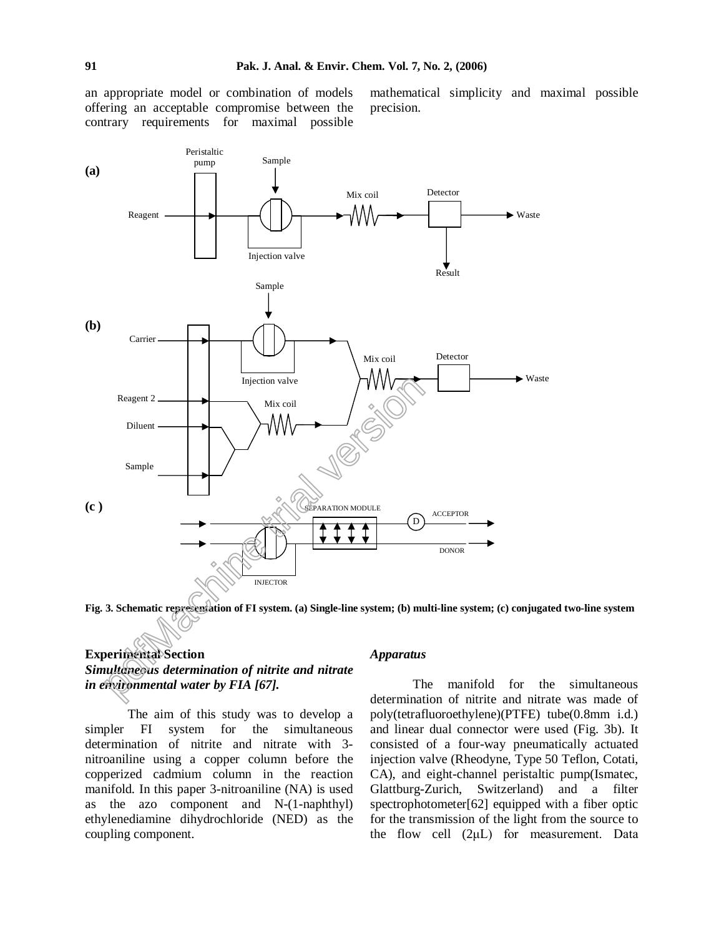an appropriate model or combination of models offering an acceptable compromise between the contrary requirements for maximal possible

mathematical simplicity and maximal possible precision.



Fig. 3. Schematic representation of FI system. (a) Single-line system; (b) multi-line system; (c) conjugated two-line system

# **Experimental Section** *Simultaneous determination of nitrite and nitrate in environmental water by FIA [67].*

The aim of this study was to develop a simpler FI system for the simultaneous determination of nitrite and nitrate with 3 nitroaniline using a copper column before the copperized cadmium column in the reaction manifold. In this paper 3-nitroaniline (NA) is used as the azo component and N-(1-naphthyl) ethylenediamine dihydrochloride (NED) as the coupling component.

#### *Apparatus*

The manifold for the simultaneous determination of nitrite and nitrate was made of poly(tetrafluoroethylene)(PTFE) tube(0.8mm i.d.) and linear dual connector were used (Fig. 3b). It consisted of a four-way pneumatically actuated injection valve (Rheodyne, Type 50 Teflon, Cotati, CA), and eight-channel peristaltic pump(Ismatec, Glattburg-Zurich, Switzerland) and a filter spectrophotometer[62] equipped with a fiber optic for the transmission of the light from the source to the flow cell  $(2\mu L)$  for measurement. Data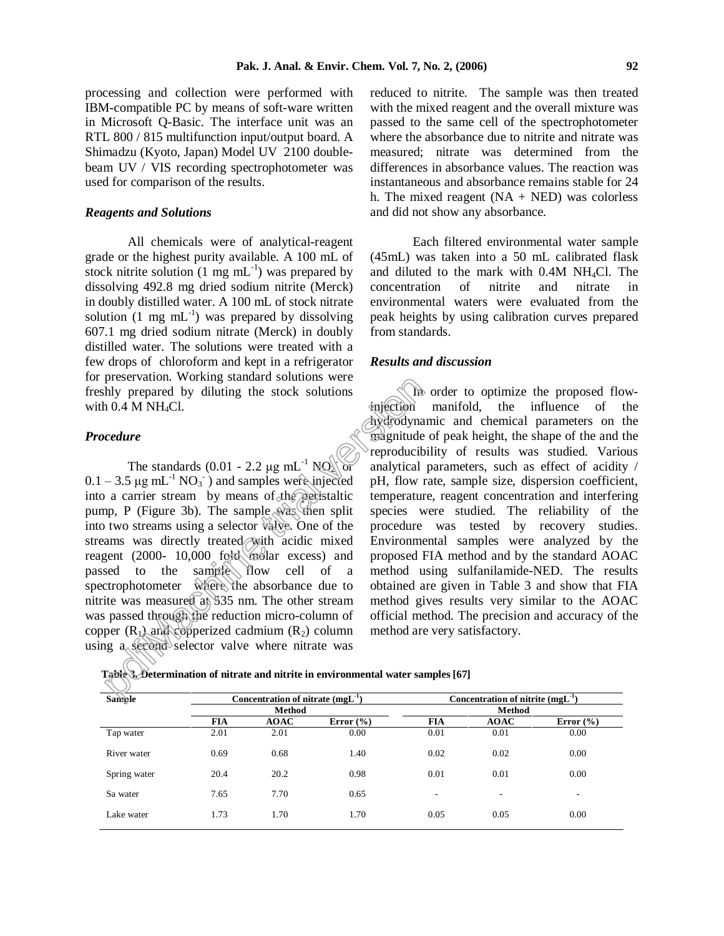processing and collection were performed with IBM-compatible PC by means of soft-ware written in Microsoft Q-Basic. The interface unit was an RTL 800 / 815 multifunction input/output board. A Shimadzu (Kyoto, Japan) Model UV 2100 double beam UV / VIS recording spectrophotometer was used for comparison of the results.

### *Reagents and Solutions*

All chemicals were of analytical-reagent grade or the highest purity available. A 100 mL of stock nitrite solution  $(1 \text{ mg mL}^{-1})$  was prepared by dissolving 492.8 mg dried sodium nitrite (Merck) in doubly distilled water. A 100 mL of stock nitrate solution (1 mg mL<sup>-1</sup>) was prepared by dissolving p 607.1 mg dried sodium nitrate (Merck) in doubly distilled water. The solutions were treated with a few drops of chloroform and kept in a refrigerator for preservation. Working standard solutions were freshly prepared by diluting the stock solutions with  $0.4$  M NH<sub>4</sub>Cl.

### *Procedure*

The standards  $(0.01 - 2.2 \mu g \text{ mL}^{-1} \text{NO} \sqrt{\text{or}}$  $0.1 - 3.5 \mu g \text{ mL}^{-1} \text{ NO}_3$  ) and samples were injected position into a carrier stream by means of the peristaltic pump, P (Figure 3b). The sample was then split into two streams using a selector valve. One of the streams was directly treated with acidic mixed reagent (2000- 10,000 fold molar excess) and passed to the sample flow cell of a spectrophotometer where the absorbance due to nitrite was measured at 535 nm. The other stream was passed through the reduction micro-column of copper  $(R<sub>1</sub>)$  and copperized cadmium  $(R<sub>2</sub>)$  column using a second selector valve where nitrate was plese valion. Working standard solutions were<br>
hy prepared by diluting the stock solutions<br>  $10.4 \text{ M NH}_4$ Cl.<br>
The standards  $(0.01 - 2.2 \mu g \text{ mL}^{-1} \text{ NO}$  or exproducib<br>  $-3.5 \mu g \text{ mL}^{-1} \text{ NO}$ <sub>3</sub> and samples were injected

reduced to nitrite. The sample was then treated with the mixed reagent and the overall mixture was passed to the same cell of the spectrophotometer where the absorbance due to nitrite and nitrate was measured; nitrate was determined from the differences in absorbance values. The reaction was instantaneous and absorbance remains stable for 24 h. The mixed reagent  $(NA + NED)$  was colorless and did not show any absorbance.

Each filtered environmental water sample (45mL) was taken into a 50 mL calibrated flask and diluted to the mark with 0.4M NH4Cl. The concentration of nitrite and nitrate in environmental waters were evaluated from the peak heights by using calibration curves prepared from standards.

### *Results and discussion*

In order to optimize the proposed flowinjection manifold, the influence of the hydrodynamic and chemical parameters on the magnitude of peak height, the shape of the and the reproducibility of results was studied. Various analytical parameters, such as effect of acidity / pH, flow rate, sample size, dispersion coefficient, temperature, reagent concentration and interfering species were studied. The reliability of the procedure was tested by recovery studies. Environmental samples were analyzed by the proposed FIA method and by the standard AOAC method using sulfanilamide-NED. The results obtained are given in Table 3 and show that FIA method gives results very similar to the AOAC official method. The precision and accuracy of the method are very satisfactory.

| Sample       | Concentration of nitrate $(mgL^{-1})$ |             |               | Concentration of nitrite $(mgL-1)$ |                          |               |
|--------------|---------------------------------------|-------------|---------------|------------------------------------|--------------------------|---------------|
|              |                                       | Method      |               |                                    | Method                   |               |
|              | <b>FIA</b>                            | <b>AOAC</b> | Error $(\% )$ | <b>FIA</b>                         | <b>AOAC</b>              | Error $(\% )$ |
| Tap water    | 2.01                                  | 2.01        | 0.00          | 0.01                               | 0.01                     | 0.00          |
| River water  | 0.69                                  | 0.68        | 1.40          | 0.02                               | 0.02                     | 0.00          |
| Spring water | 20.4                                  | 20.2        | 0.98          | 0.01                               | 0.01                     | 0.00          |
| Sa water     | 7.65                                  | 7.70        | 0.65          | $\qquad \qquad$                    | $\overline{\phantom{a}}$ | ۰             |
| Lake water   | 1.73                                  | 1.70        | 1.70          | 0.05                               | 0.05                     | 0.00          |

| Table <i>S</i> Determination of nitrate and nitrite in environmental water samples [67] |  |
|-----------------------------------------------------------------------------------------|--|
|-----------------------------------------------------------------------------------------|--|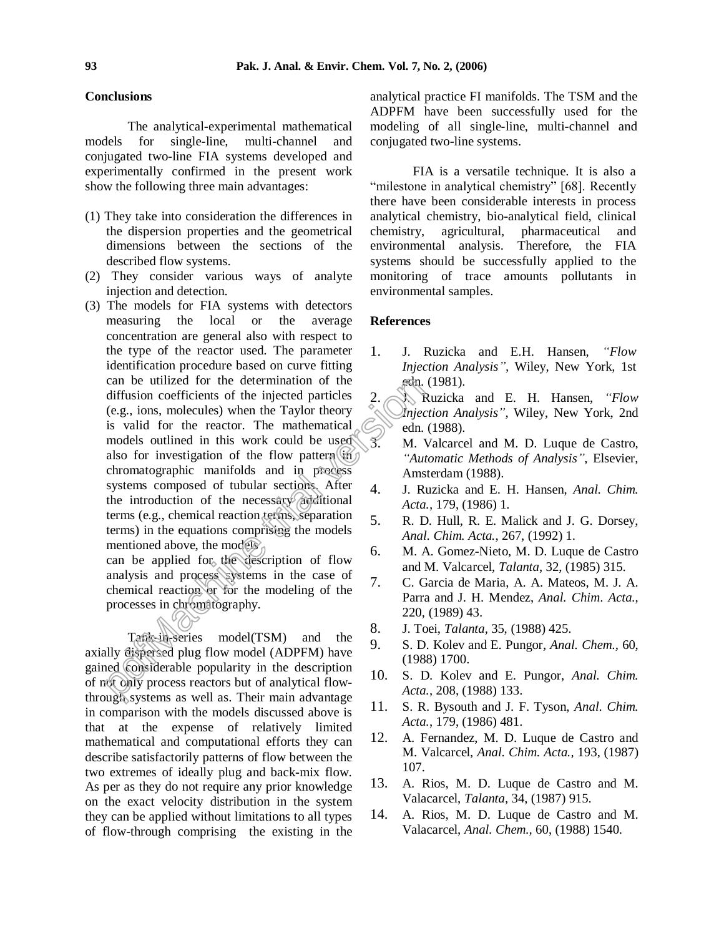### **Conclusions**

The analytical-experimental mathematical models for single-line, multi-channel and conjugated two-line FIA systems developed and experimentally confirmed in the present work show the following three main advantages:

- (1) They take into consideration the differences in the dispersion properties and the geometrical dimensions between the sections of the described flow systems.
- (2) They consider various ways of analyte injection and detection.
- (3) The models for FIA systems with detectors measuring the local or the average concentration are general also with respect to the type of the reactor used. The parameter identification procedure based on curve fitting can be utilized for the determination of the diffusion coefficients of the injected particles (e.g., ions, molecules) when the Taylor theory is valid for the reactor. The mathematical is valid for the reactor. The mathematical models outlined in this work could be used  $\frac{3}{3}$ also for investigation of the flow pattern  $\mathcal{W}$ chromatographic manifolds and in process systems composed of tubular sections. After the introduction of the necessary additional terms (e.g., chemical reaction terms, separation 5 terms) in the equations comprising the models mentioned above, the models can be utilized for the determination of the<br>diffusion coefficients of the injected particles<br>
(e.g., ions, molecules) when the Taylor theory<br>
is valid for the reactor. The mathematical models outlined in this work could

can be applied for the description of flow  $\frac{6}{5}$ . analysis and process systems in the case of chemical reaction or for the modeling of the  $\frac{7}{2}$ . processes in chromatography.

Tank-in-series model(TSM) and the  $\frac{8}{9}$ . axially dispersed plug flow model (ADPFM) have gained considerable popularity in the description of not only process reactors but of analytical flowthrough systems as well as. Their main advantage<br>in comparison with the models discussed ebous is 11. in comparison with the models discussed above is that at the expense of relatively limited<br>mathematical and computational efforts that can 12. mathematical and computational efforts they can describe satisfactorily patterns of flow between the two extremes of ideally plug and back-mix flow. As per as they do not require any prior knowledge on the exact velocity distribution in the system<br>they can be applied without limitations to all types  $14$ . they can be applied without limitations to all types of flow-through comprising the existing in the

analytical practice FI manifolds. The TSM and the ADPFM have been successfully used for the modeling of all single-line, multi-channel and conjugated two-line systems.

FIA is a versatile technique. It is also a "milestone in analytical chemistry" [68]. Recently there have been considerable interests in process analytical chemistry, bio-analytical field, clinical chemistry, agricultural, pharmaceutical and environmental analysis. Therefore, the FIA systems should be successfully applied to the monitoring of trace amounts pollutants in environmental samples.

### **References**

- 1. J. Ruzicka and E.H. Hansen, *ìFlow Injection Analysisî,* Wiley, New York, 1st edn. (1981).
- 2. J. Ruzicka and E. H. Hansen, *ìFlow Injection Analysisî,* Wiley, New York, 2nd edn. (1988).
	- M. Valcarcel and M. D. Luque de Castro, *ìAutomatic Methods of Analysisî*, Elsevier, Amsterdam (1988).
- 4. J. Ruzicka and E. H. Hansen, *Anal. Chim. Acta.,* 179, (1986) 1.
- 5. R. D. Hull, R. E. Malick and J. G. Dorsey, *Anal. Chim. Acta.*, 267, (1992) 1.
- 6. M. A. Gomez-Nieto, M. D. Luque de Castro and M. Valcarcel, *Talanta*, 32, (1985) 315.
- 7. C. Garcia de Maria, A. A. Mateos, M. J. A. Parra and J. H. Mendez, *Anal. Chim*. *Acta.*, 220, (1989) 43.
- 8. J. Toei, *Talanta,* 35, (1988) 425.
- 9. S. D. Kolev and E. Pungor, *Anal. Chem.,* 60, (1988) 1700.
- 10. S. D. Kolev and E. Pungor, *Anal. Chim. Acta.,* 208, (1988) 133.
- 11. S. R. Bysouth and J. F. Tyson, *Anal. Chim. Acta.*, 179, (1986) 481.
- 12. A. Fernandez, M. D. Luque de Castro and M. Valcarcel, *Anal. Chim. Acta.,* 193, (1987) 107.
- 13. A. Rios, M. D. Luque de Castro and M. Valacarcel, *Talanta,* 34, (1987) 915.
- 14. A. Rios, M. D. Luque de Castro and M. Valacarcel, *Anal. Chem.,* 60, (1988) 1540.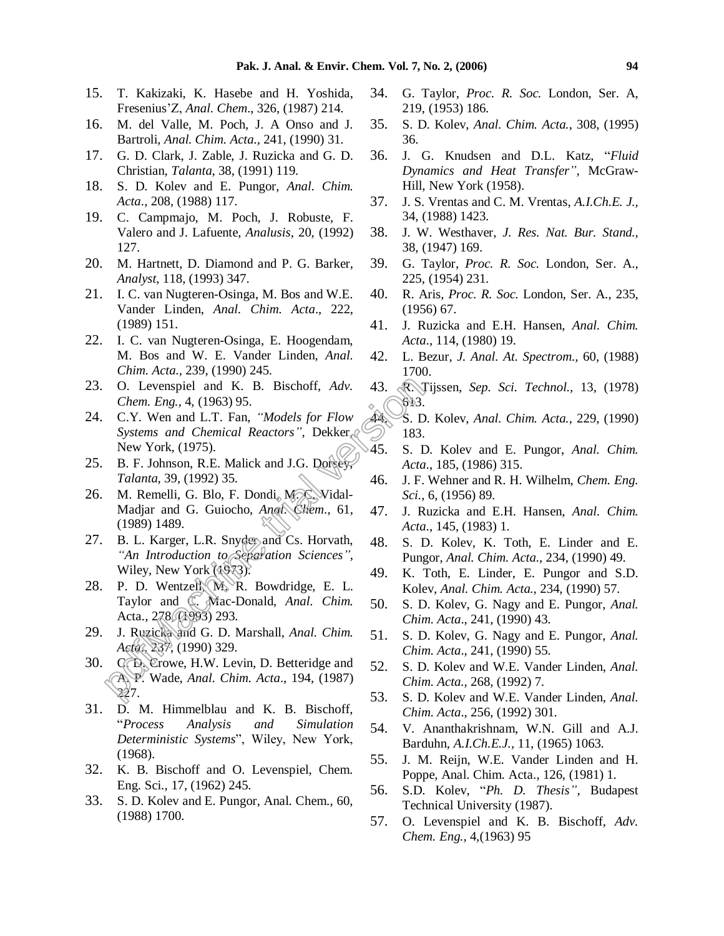- 15. T. Kakizaki, K. Hasebe and H. Yoshida, FreseniusíZ, *Anal. Chem*., 326, (1987) 214.
- 16. M. del Valle, M. Poch, J. A Onso and J. Bartroli, *Anal. Chim. Acta.,* 241, (1990) 31.
- 17. G. D. Clark, J. Zable, J. Ruzicka and G. D. Christian, *Talanta,* 38, (1991) 119.
- 18. S. D. Kolev and E. Pungor, *Anal. Chim. Acta*., 208, (1988) 117.
- 19. C. Campmajo, M. Poch, J. Robuste, F. Valero and J. Lafuente, *Analusis*, 20, (1992) 127.
- 20. M. Hartnett, D. Diamond and P. G. Barker, *Analyst*, 118, (1993) 347.
- 21. I. C. van Nugteren-Osinga, M. Bos and W.E. Vander Linden, *Anal. Chim. Acta*., 222, (1989) 151.
- 22. I. C. van Nugteren-Osinga, E. Hoogendam, M. Bos and W. E. Vander Linden, *Anal. Chim. Acta.,* 239, (1990) 245.
- 23. O. Levenspiel and K. B. Bischoff, *Adv. Chem. Eng.,* 4, (1963) 95.
- 24. C.Y. Wen and L.T. Fan, *ìModels for Flow Systems and Chemical Reactorsî,* Dekker, New York, (1975).
- 25. B. F. Johnson, R.E. Malick and J.G. Dorsey, *Talanta*, 39, (1992) 35.
- 26. M. Remelli, G. Blo, F. Dondi, M. C. Vidal-Madjar and G. Guiocho, *Anal. Chem*., 61, (1989) 1489.
- 27. B. L. Karger, L.R. Snyder and Cs. Horvath, *ìAn Introduction to Separation Sciencesî*, Wiley, New York (1973).
- 28. P. D. Wentzell, M. R. Bowdridge, E. L. Taylor and C. Mac-Donald, *Anal. Chim.* Acta., 278 (1993) 293. 0. Levenspiel and K. B. Bischoff, Adv. 43. (Chem. Eng., 4, (1963) 95.<br>
C.Y. Wen and L.T. Fan, "Models for Flow 8. D.<br>
Systems and Chemical Reactors", Dekker 8. S. D.<br>
Systems and Chemical Reactors", Dekker 8. S. I.<br>
B. F.
- 29. J. Ruzicka and G. D. Marshall, *Anal. Chim. Acta*., 237, (1990) 329.
- 30.  $C(D)$  Crowe, H.W. Levin, D. Betteridge and 52. A. P. Wade, *Anal. Chim. Acta*., 194, (1987) 227.
- 31. D. M. Himmelblau and K. B. Bischoff, ì*Process Analysis and Simulation Deterministic Systems*î, Wiley, New York, (1968).
- 32. K. B. Bischoff and O. Levenspiel, Chem. Eng. Sci., 17, (1962) 245.
- 33. S. D. Kolev and E. Pungor, Anal. Chem., 60, (1988) 1700.
- 34. G. Taylor, *Proc. R. Soc.* London, Ser. A, 219, (1953) 186.
- 35. S. D. Kolev, *Anal. Chim. Acta.*, 308, (1995) 36.
- 36. J. G. Knudsen and D.L. Katz, "Fluid *Dynamics and Heat Transferî,* McGraw- Hill, New York (1958).
- 37. J. S. Vrentas and C. M. Vrentas, *A.I.Ch.E. J.,* 34, (1988) 1423.
- 38. J. W. Westhaver, *J. Res. Nat. Bur. Stand.*, 38, (1947) 169.
- 39. G. Taylor, *Proc. R. Soc.* London, Ser. A., 225, (1954) 231.
- 40. R. Aris, *Proc. R. Soc.* London, Ser. A., 235, (1956) 67.
- 41. J. Ruzicka and E.H. Hansen, *Anal. Chim. Acta*., 114, (1980) 19.
- 42. L. Bezur, *J. Anal. At. Spectrom.,* 60, (1988) 1700.
- 43. R. Tijssen, *Sep. Sci. Technol.,* 13, (1978) 613.
- 44. S. D. Kolev, *Anal. Chim. Acta.,* 229, (1990) 183.
- 45. S. D. Kolev and E. Pungor, *Anal. Chim. Acta*., 185, (1986) 315.
- 46. J. F. Wehner and R. H. Wilhelm, *Chem. Eng. Sci.*, 6, (1956) 89.
- 47. J. Ruzicka and E.H. Hansen, *Anal. Chim. Acta*., 145, (1983) 1.
- 48. S. D. Kolev, K. Toth, E. Linder and E. Pungor, *Anal. Chim. Acta*., 234, (1990) 49.
- 49. K. Toth, E. Linder, E. Pungor and S.D. Kolev, *Anal. Chim. Acta.*, 234, (1990) 57.
- 50. S. D. Kolev, G. Nagy and E. Pungor, *Anal. Chim. Acta*., 241, (1990) 43.
- 51. S. D. Kolev, G. Nagy and E. Pungor, *Anal. Chim. Acta*., 241, (1990) 55.
- 52. S. D. Kolev and W.E. Vander Linden, *Anal. Chim. Acta.,* 268, (1992) 7.
- 53. S. D. Kolev and W.E. Vander Linden, *Anal. Chim. Acta*., 256, (1992) 301.
- 54. V. Ananthakrishnam, W.N. Gill and A.J. Barduhn, *A.I.Ch.E.J.,* 11, (1965) 1063.
- 55. J. M. Reijn, W.E. Vander Linden and H. Poppe, Anal. Chim. Acta., 126, (1981) 1.
- 56. S.D. Kolev, ì*Ph. D. Thesisî*, Budapest Technical University (1987).
- 57. O. Levenspiel and K. B. Bischoff, *Adv. Chem. Eng.,* 4,(1963) 95